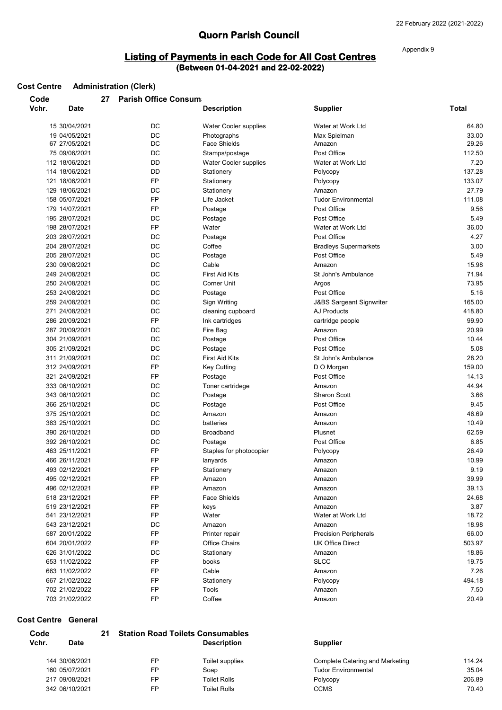# **Quorn Parish Council**

# **Listing of Payments in each Code for All Cost Centres (Between 01-04-2021 and 22-02-2022)**

Appendix 9

| Code  |                | 27 | <b>Parish Office Consum</b> |                         |                                     |                |
|-------|----------------|----|-----------------------------|-------------------------|-------------------------------------|----------------|
| Vchr. | <b>Date</b>    |    |                             | <b>Description</b>      | <b>Supplier</b>                     | Total          |
|       | 15 30/04/2021  |    | DC                          | Water Cooler supplies   | Water at Work Ltd                   | 64.80          |
|       | 19 04/05/2021  |    | DC                          | Photographs             | Max Spielman                        | 33.00          |
|       | 67 27/05/2021  |    | DC                          | <b>Face Shields</b>     | Amazon                              | 29.26          |
|       | 75 09/06/2021  |    | DC                          | Stamps/postage          | Post Office                         | 112.50         |
|       | 112 18/06/2021 |    | DD                          | Water Cooler supplies   | Water at Work Ltd                   | 7.20           |
|       | 114 18/06/2021 |    | DD                          | Stationery              | Polycopy                            | 137.28         |
|       | 121 18/06/2021 |    | <b>FP</b>                   | Stationery              | Polycopy                            | 133.07         |
|       | 129 18/06/2021 |    | DC                          | Stationery              | Amazon                              | 27.79          |
|       | 158 05/07/2021 |    | FP                          | Life Jacket             | <b>Tudor Environmental</b>          | 111.08         |
|       | 179 14/07/2021 |    | <b>FP</b>                   | Postage                 | Post Office                         | 9.56           |
|       | 195 28/07/2021 |    | DC                          | Postage                 | Post Office                         | 5.49           |
|       | 198 28/07/2021 |    | <b>FP</b>                   | Water                   | Water at Work Ltd                   | 36.00          |
|       | 203 28/07/2021 |    | DC                          | Postage                 | Post Office                         | 4.27           |
|       | 204 28/07/2021 |    | DC                          | Coffee                  | <b>Bradleys Supermarkets</b>        | 3.00           |
|       | 205 28/07/2021 |    | DC                          | Postage                 | Post Office                         | 5.49           |
|       | 230 09/08/2021 |    | DC                          | Cable                   | Amazon                              | 15.98          |
|       | 249 24/08/2021 |    | DC                          | <b>First Aid Kits</b>   | St John's Ambulance                 | 71.94          |
|       | 250 24/08/2021 |    | DC                          | <b>Corner Unit</b>      | Argos                               | 73.95          |
|       | 253 24/08/2021 |    | DC                          | Postage                 | Post Office                         | 5.16           |
|       | 259 24/08/2021 |    | DC                          | Sign Writing            | <b>J&amp;BS Sargeant Signwriter</b> | 165.00         |
|       | 271 24/08/2021 |    | DC                          | cleaning cupboard       | AJ Products                         | 418.80         |
|       | 286 20/09/2021 |    | FP                          | Ink cartridges          | cartridge people                    | 99.90          |
|       | 287 20/09/2021 |    | DC                          | Fire Bag                | Amazon                              | 20.99          |
|       | 304 21/09/2021 |    | DC                          | Postage                 | Post Office                         | 10.44          |
|       | 305 21/09/2021 |    | DC                          | Postage                 | Post Office                         | 5.08           |
|       | 311 21/09/2021 |    | DC                          | <b>First Aid Kits</b>   | St John's Ambulance                 | 28.20          |
|       | 312 24/09/2021 |    | <b>FP</b>                   |                         |                                     | 159.00         |
|       | 321 24/09/2021 |    | FP                          | <b>Key Cutting</b>      | D O Morgan<br>Post Office           |                |
|       |                |    | DC                          | Postage                 |                                     | 14.13<br>44.94 |
|       | 333 06/10/2021 |    |                             | Toner cartridege        | Amazon<br><b>Sharon Scott</b>       | 3.66           |
|       | 343 06/10/2021 |    | DC                          | Postage                 | Post Office                         |                |
|       | 366 25/10/2021 |    | DC                          | Postage                 |                                     | 9.45           |
|       | 375 25/10/2021 |    | DC                          | Amazon                  | Amazon                              | 46.69          |
|       | 383 25/10/2021 |    | DC                          | batteries               | Amazon                              | 10.49          |
|       | 390 26/10/2021 |    | DD                          | <b>Broadband</b>        | Plusnet                             | 62.59          |
|       | 392 26/10/2021 |    | DC                          | Postage                 | Post Office                         | 6.85           |
|       | 463 25/11/2021 |    | <b>FP</b>                   | Staples for photocopier | Polycopy                            | 26.49          |
|       | 466 26/11/2021 |    | <b>FP</b>                   | lanyards                | Amazon                              | 10.99          |
|       | 493 02/12/2021 |    | FP                          | Stationery              | Amazon                              | 9.19           |
|       | 495 02/12/2021 |    | FP                          | Amazon                  | Amazon                              | 39.99          |
|       | 496 02/12/2021 |    | FP                          | Amazon                  | Amazon                              | 39.13          |
|       | 518 23/12/2021 |    | FP                          | <b>Face Shields</b>     | Amazon                              | 24.68          |
|       | 519 23/12/2021 |    | FP                          | keys                    | Amazon                              | 3.87           |
|       | 541 23/12/2021 |    | FP                          | Water                   | Water at Work Ltd                   | 18.72          |
|       | 543 23/12/2021 |    | DC                          | Amazon                  | Amazon                              | 18.98          |
|       | 587 20/01/2022 |    | FP                          | Printer repair          | <b>Precision Peripherals</b>        | 66.00          |
|       | 604 20/01/2022 |    | FP                          | Office Chairs           | <b>UK Office Direct</b>             | 503.97         |
|       | 626 31/01/2022 |    | DC                          | Stationary              | Amazon                              | 18.86          |
|       | 653 11/02/2022 |    | FP                          | books                   | <b>SLCC</b>                         | 19.75          |
|       | 663 11/02/2022 |    | FP                          | Cable                   | Amazon                              | 7.26           |
|       | 667 21/02/2022 |    | FP                          | Stationery              | Polycopy                            | 494.18         |
|       | 702 21/02/2022 |    | FP                          | Tools                   | Amazon                              | 7.50           |
|       | 703 21/02/2022 |    | FP                          | Coffee                  | Amazon                              | 20.49          |

#### **Cost Centre General**

**Cost Centre Administration (Clerk)**

| Code  |                | 21 |    | <b>Station Road Toilets Consumables</b> |                                 |        |
|-------|----------------|----|----|-----------------------------------------|---------------------------------|--------|
| Vchr. | <b>Date</b>    |    |    | <b>Description</b>                      | <b>Supplier</b>                 |        |
|       | 144 30/06/2021 |    | FP | Toilet supplies                         | Complete Catering and Marketing | 114.24 |
|       | 160 05/07/2021 |    | FP | Soap                                    | <b>Tudor Environmental</b>      | 35.04  |
|       | 217 09/08/2021 |    | FP | <b>Toilet Rolls</b>                     | Polycopy                        | 206.89 |
|       | 342 06/10/2021 |    | FP | <b>Toilet Rolls</b>                     | <b>CCMS</b>                     | 70.40  |
|       |                |    |    |                                         |                                 |        |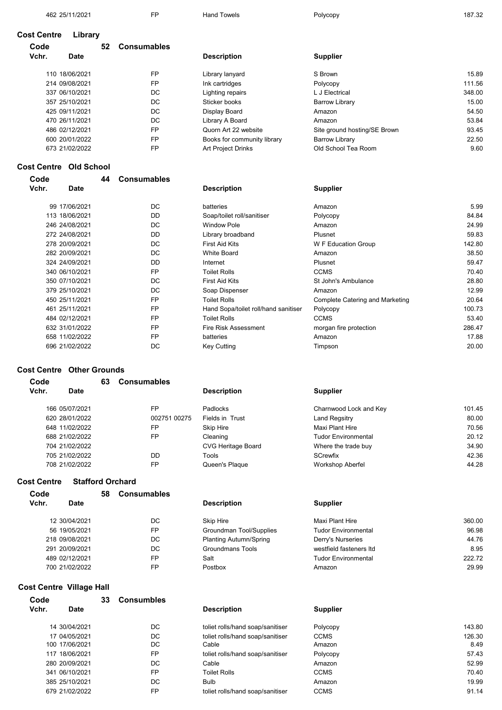462 25/11/2021 FP Hand Towels Hand Towels Polycopy

187.32

#### **Cost Centre Library**

| Code  |                | 52 | <b>Consumables</b> |                             |                              |        |
|-------|----------------|----|--------------------|-----------------------------|------------------------------|--------|
| Vchr. | <b>Date</b>    |    |                    | <b>Description</b>          | <b>Supplier</b>              |        |
|       | 110 18/06/2021 |    | <b>FP</b>          | Library lanyard             | S Brown                      | 15.89  |
|       | 214 09/08/2021 |    | <b>FP</b>          | Ink cartridges              | Polycopy                     | 111.56 |
|       | 337 06/10/2021 |    | DC.                | Lighting repairs            | L J Electrical               | 348.00 |
|       | 357 25/10/2021 |    | DC.                | Sticker books               | <b>Barrow Library</b>        | 15.00  |
|       | 425 09/11/2021 |    | DC.                | Display Board               | Amazon                       | 54.50  |
|       | 470 26/11/2021 |    | DC.                | Library A Board             | Amazon                       | 53.84  |
|       | 486 02/12/2021 |    | FP                 | Quorn Art 22 website        | Site ground hosting/SE Brown | 93.45  |
|       | 600 20/01/2022 |    | FP                 | Books for community library | <b>Barrow Library</b>        | 22.50  |
|       | 673 21/02/2022 |    | FP                 | <b>Art Project Drinks</b>   | Old School Tea Room          | 9.60   |

#### **Cost Centre Old School**

| Code  |                 | 44 | Consumables |
|-------|-----------------|----|-------------|
| Vchr. | Date            |    |             |
|       | 99 17/06/2021   |    | DC          |
|       | 113 18/06/2021  |    | DD          |
|       | 246 24/08/2021  |    | DC          |
|       | 272 24/08/2021  |    | DD          |
|       | 278 20/09/2021  |    | DC          |
|       | 282 20/09/2021  |    | DC          |
|       | 324 24/09/2021  |    | DD          |
|       | 340 06/10/2021  |    | FP          |
|       | 350 07/10/2021  |    | DC          |
|       | 379 25/10/2021  |    | DC          |
|       | 450 25/11/2021  |    | FP          |
|       | 461 25/11/2021  |    | FP          |
|       | 484 02/12/2021  |    | FP          |
|       | 632 31/01/2022  |    | FP          |
|       | 658 11/02/2022  |    | FP          |
|       | ררחרורחו ור בחב |    | nr          |

#### **Cost Centre Other Grounds**

| Code                 | 63 | <b>Consumables</b> |                           |                            |        |
|----------------------|----|--------------------|---------------------------|----------------------------|--------|
| Vchr.<br><b>Date</b> |    |                    | <b>Description</b>        | <b>Supplier</b>            |        |
| 166 05/07/2021       |    | <b>FP</b>          | Padlocks                  | Charnwood Lock and Key     | 101.45 |
| 620 28/01/2022       |    | 002751 00275       | Fields in Trust           | Land Regsitry              | 80.00  |
| 648 11/02/2022       |    | FP                 | Skip Hire                 | Maxi Plant Hire            | 70.56  |
| 688 21/02/2022       |    | <b>FP</b>          | Cleaning                  | <b>Tudor Environmental</b> | 20.12  |
| 704 21/02/2022       |    |                    | <b>CVG Heritage Board</b> | Where the trade buy        | 34.90  |
| 705 21/02/2022       |    | DD                 | Tools                     | SCrewfix                   | 42.36  |
| 708 21/02/2022       |    | FP                 | Queen's Plaque            | <b>Workshop Aberfel</b>    | 44.28  |

### **Cost Centre Stafford Orchard**

|             |                                                                                                        | <b>Consumables</b><br>58      |                            |        |  |
|-------------|--------------------------------------------------------------------------------------------------------|-------------------------------|----------------------------|--------|--|
| <b>Date</b> |                                                                                                        | <b>Description</b>            | <b>Supplier</b>            |        |  |
|             | DC.                                                                                                    | Skip Hire                     | Maxi Plant Hire            | 360.00 |  |
|             | <b>FP</b>                                                                                              | Groundman Tool/Supplies       | <b>Tudor Environmental</b> | 96.98  |  |
|             | DC.                                                                                                    | <b>Planting Autumn/Spring</b> | Derry's Nurseries          | 44.76  |  |
|             | DC.                                                                                                    | Groundmans Tools              | westfield fasteners Itd    | 8.95   |  |
|             | <b>FP</b>                                                                                              | Salt                          | <b>Tudor Environmental</b> | 222.72 |  |
|             | <b>FP</b>                                                                                              | Postbox                       | Amazon                     | 29.99  |  |
|             | 12 30/04/2021<br>56 19/05/2021<br>218 09/08/2021<br>291 20/09/2021<br>489 02/12/2021<br>700 21/02/2022 |                               |                            |        |  |

## **Cost Centre Village Hall**

|                | 33 | <b>Consumbles</b> |  |
|----------------|----|-------------------|--|
| Date           |    |                   |  |
| 14 30/04/2021  |    | DC.               |  |
| 17 04/05/2021  |    | DC.               |  |
| 100 17/06/2021 |    | DC.               |  |
| 117 18/06/2021 |    | FP                |  |
| 280 20/09/2021 |    | DC.               |  |
| 341 06/10/2021 |    | FP                |  |
| 385 25/10/2021 |    | DC.               |  |
| 679 21/02/2022 |    | FP                |  |
|                |    |                   |  |

#### **Description Supplier**

| 99 17/06/2021  | DC        | batteries                            | Amazon                          | 5.99   |
|----------------|-----------|--------------------------------------|---------------------------------|--------|
| 113 18/06/2021 | DD        | Soap/toilet roll/sanitiser           | Polycopy                        | 84.84  |
| 246 24/08/2021 | DC        | <b>Window Pole</b>                   | Amazon                          | 24.99  |
| 272 24/08/2021 | DD        | Library broadband                    | Plusnet                         | 59.83  |
| 278 20/09/2021 | DC        | <b>First Aid Kits</b>                | W F Education Group             | 142.80 |
| 282 20/09/2021 | DC        | <b>White Board</b>                   | Amazon                          | 38.50  |
| 324 24/09/2021 | DD        | Internet                             | Plusnet                         | 59.47  |
| 340 06/10/2021 | <b>FP</b> | <b>Toilet Rolls</b>                  | <b>CCMS</b>                     | 70.40  |
| 350 07/10/2021 | DC        | <b>First Aid Kits</b>                | St John's Ambulance             | 28.80  |
| 379 25/10/2021 | DC        | Soap Dispenser                       | Amazon                          | 12.99  |
| 450 25/11/2021 | <b>FP</b> | <b>Toilet Rolls</b>                  | Complete Catering and Marketing | 20.64  |
| 461 25/11/2021 | <b>FP</b> | Hand Sopa/toilet roll/hand sanitiser | Polycopy                        | 100.73 |
| 484 02/12/2021 | <b>FP</b> | <b>Toilet Rolls</b>                  | <b>CCMS</b>                     | 53.40  |
| 632 31/01/2022 | <b>FP</b> | Fire Risk Assessment                 | morgan fire protection          | 286.47 |
| 658 11/02/2022 | <b>FP</b> | batteries                            | Amazon                          | 17.88  |
| 696 21/02/2022 | DC        | Key Cutting                          | Timpson                         | 20.00  |
|                |           |                                      |                                 |        |

| Charnwood Lock and Key     | 101.45 |
|----------------------------|--------|
| Land Regsitry              | 80.00  |
| Maxi Plant Hire            | 70.56  |
| <b>Tudor Environmental</b> | 20.12  |
| Where the trade buy        | 34.90  |
| <b>SCrewfix</b>            | 42.36  |
| <b>Workshop Aberfel</b>    | 44 28  |

| Maxi Plant Hire            | 360.00 |
|----------------------------|--------|
| <b>Tudor Environmental</b> | 96.98  |
| Derry's Nurseries          | 44 76  |
| westfield fasteners ltd    | 895    |
| <b>Tudor Environmental</b> | 222.72 |
| Amazon                     | 29.99  |

#### **Description Supplier** toliet rolls/hand soap/sanitiser end Polycopy 143.80 toliet rolls/hand soap/sanitiser CCMS<br>Cable Amazon Polycopy 126.30<br>8.49 100 17/06/2021 DC Cable Amazon 8.49 57.43 280 20/09/2021 DC Cable Amazon toliet rolls/hand soap/sanitiser 52.99 341 06/10/2021 German FP Toilet Rolls GCMS CCMS GCMS TO TO - TO A0 385 25/10/2021 DC Bulb Amazon 19.99 toliet rolls/hand soap/sanitiser CCMS 61.14